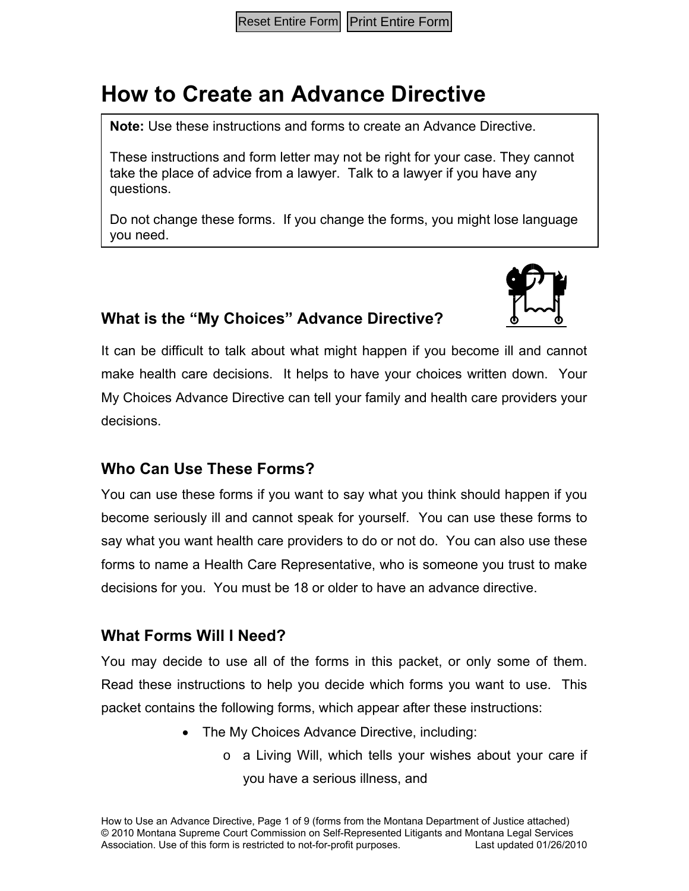### **How to Create an Advance Directive**

**Note:** Use these instructions and forms to create an Advance Directive.

These instructions and form letter may not be right for your case. They cannot take the place of advice from a lawyer. Talk to a lawyer if you have any questions.

Do not change these forms. If you change the forms, you might lose language you need.

### **What is the "My Choices" Advance Directive?**



It can be difficult to talk about what might happen if you become ill and cannot make health care decisions. It helps to have your choices written down. Your My Choices Advance Directive can tell your family and health care providers your decisions.

### **Who Can Use These Forms?**

You can use these forms if you want to say what you think should happen if you become seriously ill and cannot speak for yourself. You can use these forms to say what you want health care providers to do or not do. You can also use these forms to name a Health Care Representative, who is someone you trust to make decisions for you. You must be 18 or older to have an advance directive.

### **What Forms Will I Need?**

You may decide to use all of the forms in this packet, or only some of them. Read these instructions to help you decide which forms you want to use. This packet contains the following forms, which appear after these instructions:

- The My Choices Advance Directive, including:
	- o a Living Will, which tells your wishes about your care if you have a serious illness, and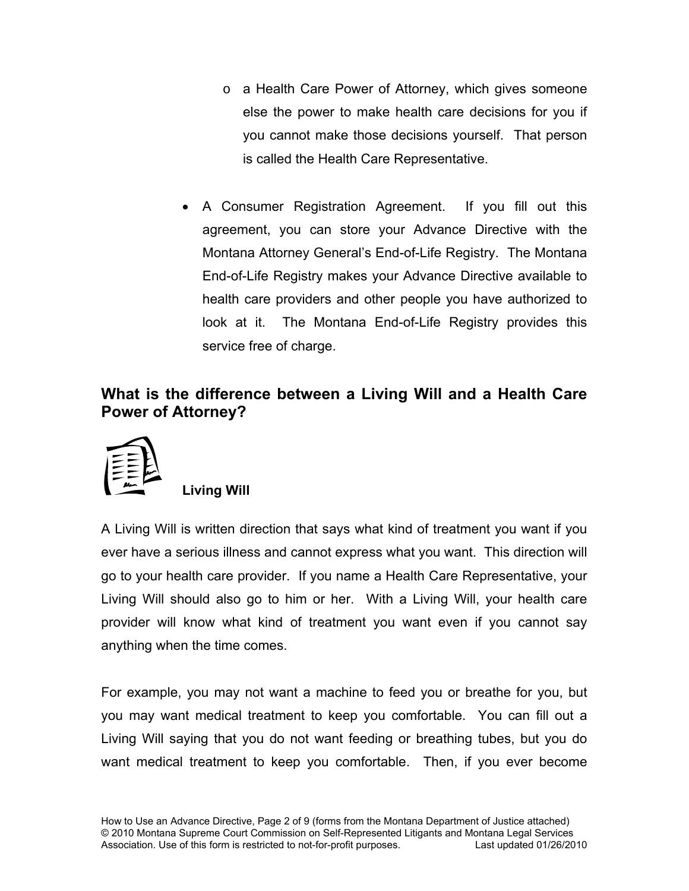- o a Health Care Power of Attorney, which gives someone else the power to make health care decisions for you if you cannot make those decisions yourself. That person is called the Health Care Representative.
- A Consumer Registration Agreement. If you fill out this agreement, you can store your Advance Directive with the Montana Attorney General's End-of-Life Registry. The Montana End-of-Life Registry makes your Advance Directive available to health care providers and other people you have authorized to look at it. The Montana End-of-Life Registry provides this service free of charge.

### **What is the difference between a Living Will and a Health Care Power of Attorney?**

 **Living Will** 

A Living Will is written direction that says what kind of treatment you want if you ever have a serious illness and cannot express what you want. This direction will go to your health care provider. If you name a Health Care Representative, your Living Will should also go to him or her. With a Living Will, your health care provider will know what kind of treatment you want even if you cannot say anything when the time comes.

For example, you may not want a machine to feed you or breathe for you, but you may want medical treatment to keep you comfortable. You can fill out a Living Will saying that you do not want feeding or breathing tubes, but you do want medical treatment to keep you comfortable. Then, if you ever become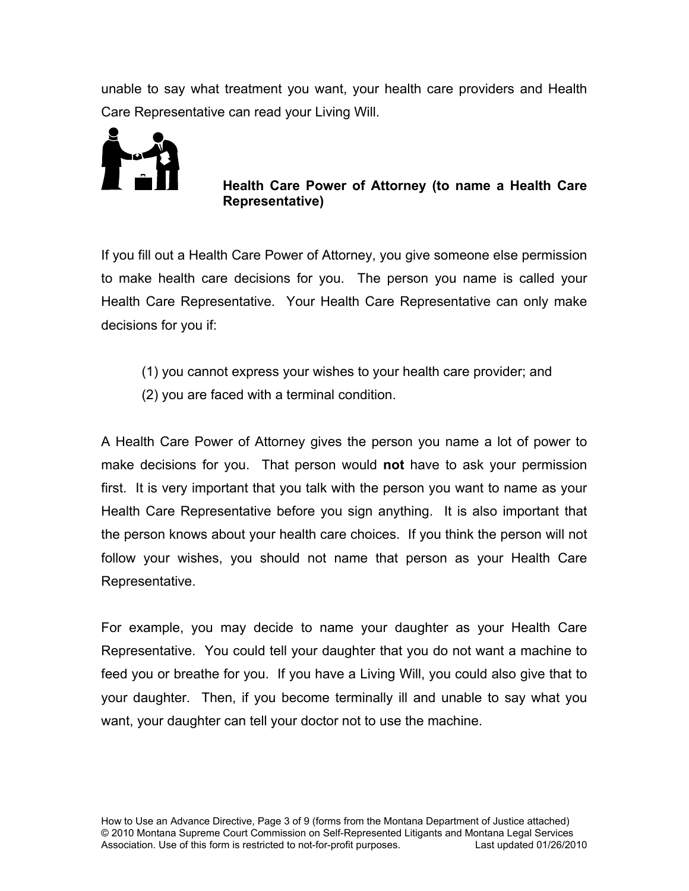unable to say what treatment you want, your health care providers and Health Care Representative can read your Living Will.



 **Health Care Power of Attorney (to name a Health Care Representative)** 

If you fill out a Health Care Power of Attorney, you give someone else permission to make health care decisions for you. The person you name is called your Health Care Representative. Your Health Care Representative can only make decisions for you if:

- (1) you cannot express your wishes to your health care provider; and
- (2) you are faced with a terminal condition.

A Health Care Power of Attorney gives the person you name a lot of power to make decisions for you. That person would **not** have to ask your permission first. It is very important that you talk with the person you want to name as your Health Care Representative before you sign anything. It is also important that the person knows about your health care choices. If you think the person will not follow your wishes, you should not name that person as your Health Care Representative.

For example, you may decide to name your daughter as your Health Care Representative. You could tell your daughter that you do not want a machine to feed you or breathe for you. If you have a Living Will, you could also give that to your daughter. Then, if you become terminally ill and unable to say what you want, your daughter can tell your doctor not to use the machine.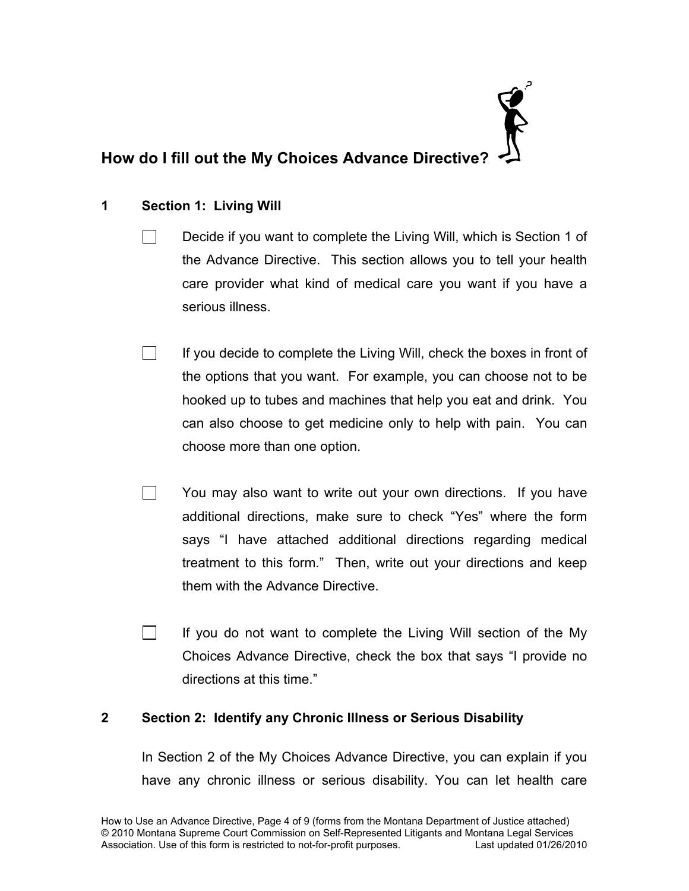## Í<br>F **How do I fill out the My Choices Advance Directive?**

### **1 Section 1: Living Will**

- $\Box$  Decide if you want to complete the Living Will, which is Section 1 of the Advance Directive. This section allows you to tell your health care provider what kind of medical care you want if you have a serious illness.
- $\Box$  If you decide to complete the Living Will, check the boxes in front of the options that you want. For example, you can choose not to be hooked up to tubes and machines that help you eat and drink. You can also choose to get medicine only to help with pain. You can choose more than one option.
- You may also want to write out your own directions. If you have additional directions, make sure to check "Yes" where the form says "I have attached additional directions regarding medical treatment to this form." Then, write out your directions and keep them with the Advance Directive.
- If you do not want to complete the Living Will section of the My Choices Advance Directive, check the box that says "I provide no directions at this time."

### **2 Section 2: Identify any Chronic Illness or Serious Disability**

In Section 2 of the My Choices Advance Directive, you can explain if you have any chronic illness or serious disability. You can let health care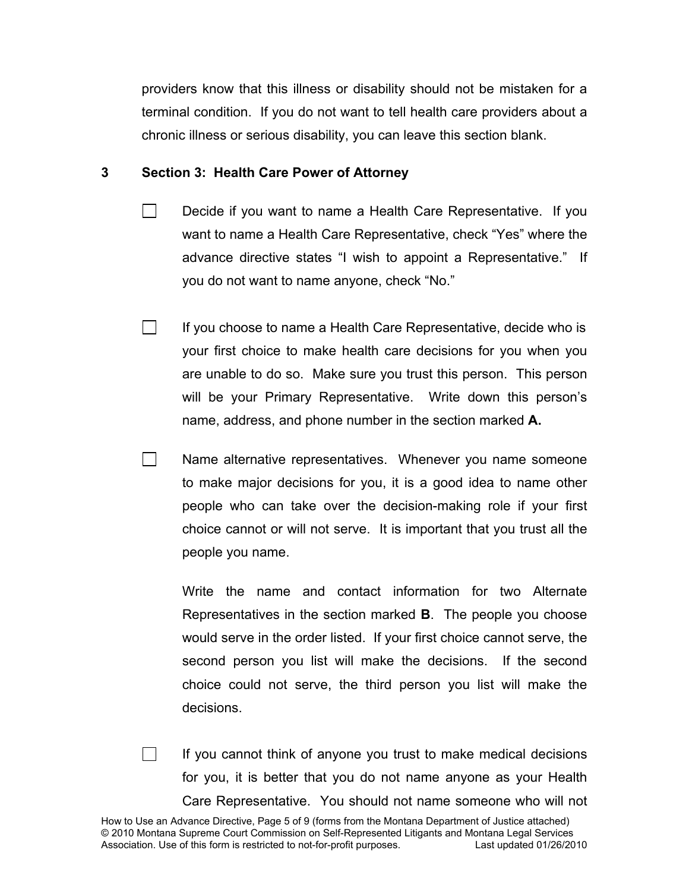providers know that this illness or disability should not be mistaken for a terminal condition. If you do not want to tell health care providers about a chronic illness or serious disability, you can leave this section blank.

### **3 Section 3: Health Care Power of Attorney**

- | | Decide if you want to name a Health Care Representative. If you want to name a Health Care Representative, check "Yes" where the advance directive states "I wish to appoint a Representative." If you do not want to name anyone, check "No."
- $\Box$ If you choose to name a Health Care Representative, decide who is your first choice to make health care decisions for you when you are unable to do so. Make sure you trust this person. This person will be your Primary Representative. Write down this person's name, address, and phone number in the section marked **A.**
- $\mathbb{R}^n$ Name alternative representatives. Whenever you name someone to make major decisions for you, it is a good idea to name other people who can take over the decision-making role if your first choice cannot or will not serve. It is important that you trust all the people you name.

Write the name and contact information for two Alternate Representatives in the section marked **B**. The people you choose would serve in the order listed. If your first choice cannot serve, the second person you list will make the decisions. If the second choice could not serve, the third person you list will make the decisions.

 $\Box$  If you cannot think of anyone you trust to make medical decisions for you, it is better that you do not name anyone as your Health Care Representative. You should not name someone who will not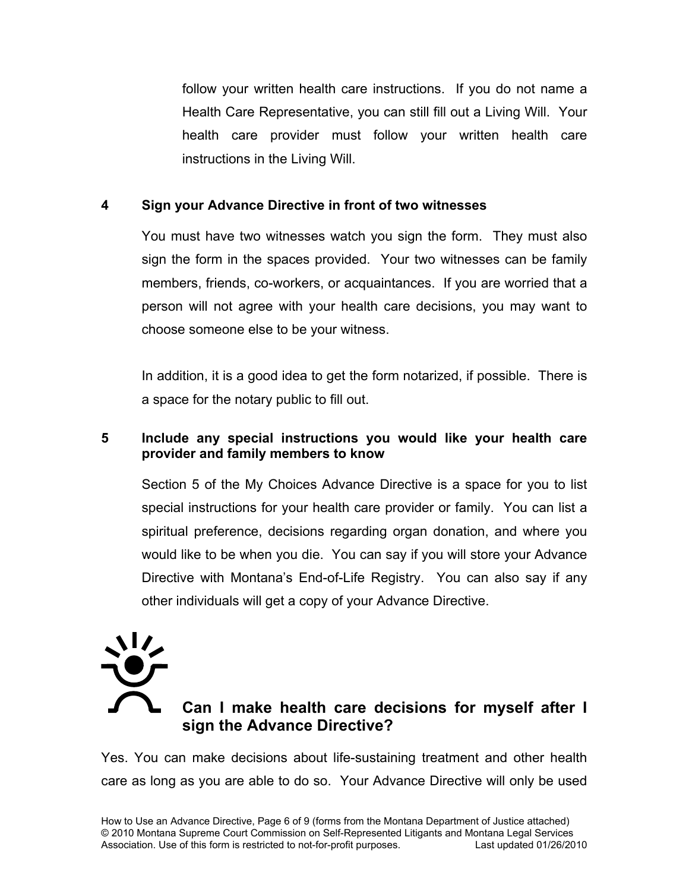follow your written health care instructions. If you do not name a Health Care Representative, you can still fill out a Living Will. Your health care provider must follow your written health care instructions in the Living Will.

### **4 Sign your Advance Directive in front of two witnesses**

You must have two witnesses watch you sign the form. They must also sign the form in the spaces provided. Your two witnesses can be family members, friends, co-workers, or acquaintances. If you are worried that a person will not agree with your health care decisions, you may want to choose someone else to be your witness.

In addition, it is a good idea to get the form notarized, if possible. There is a space for the notary public to fill out.

### **5 Include any special instructions you would like your health care provider and family members to know**

Section 5 of the My Choices Advance Directive is a space for you to list special instructions for your health care provider or family. You can list a spiritual preference, decisions regarding organ donation, and where you would like to be when you die. You can say if you will store your Advance Directive with Montana's End-of-Life Registry. You can also say if any other individuals will get a copy of your Advance Directive.

### **Can I make health care decisions for myself after I sign the Advance Directive?**

Yes. You can make decisions about life-sustaining treatment and other health care as long as you are able to do so. Your Advance Directive will only be used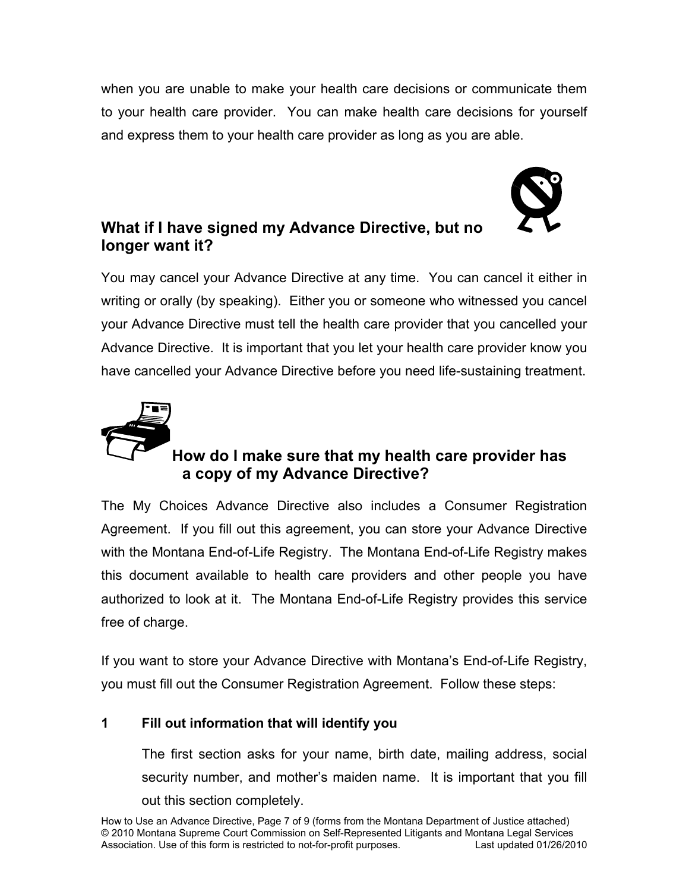when you are unable to make your health care decisions or communicate them to your health care provider. You can make health care decisions for yourself and express them to your health care provider as long as you are able.



### **What if I have signed my Advance Directive, but no longer want it?**

You may cancel your Advance Directive at any time. You can cancel it either in writing or orally (by speaking). Either you or someone who witnessed you cancel your Advance Directive must tell the health care provider that you cancelled your Advance Directive. It is important that you let your health care provider know you have cancelled your Advance Directive before you need life-sustaining treatment.



### **How do I make sure that my health care provider has a copy of my Advance Directive?**

The My Choices Advance Directive also includes a Consumer Registration Agreement. If you fill out this agreement, you can store your Advance Directive with the Montana End-of-Life Registry. The Montana End-of-Life Registry makes this document available to health care providers and other people you have authorized to look at it. The Montana End-of-Life Registry provides this service free of charge.

If you want to store your Advance Directive with Montana's End-of-Life Registry, you must fill out the Consumer Registration Agreement. Follow these steps:

### **1 Fill out information that will identify you**

The first section asks for your name, birth date, mailing address, social security number, and mother's maiden name. It is important that you fill out this section completely.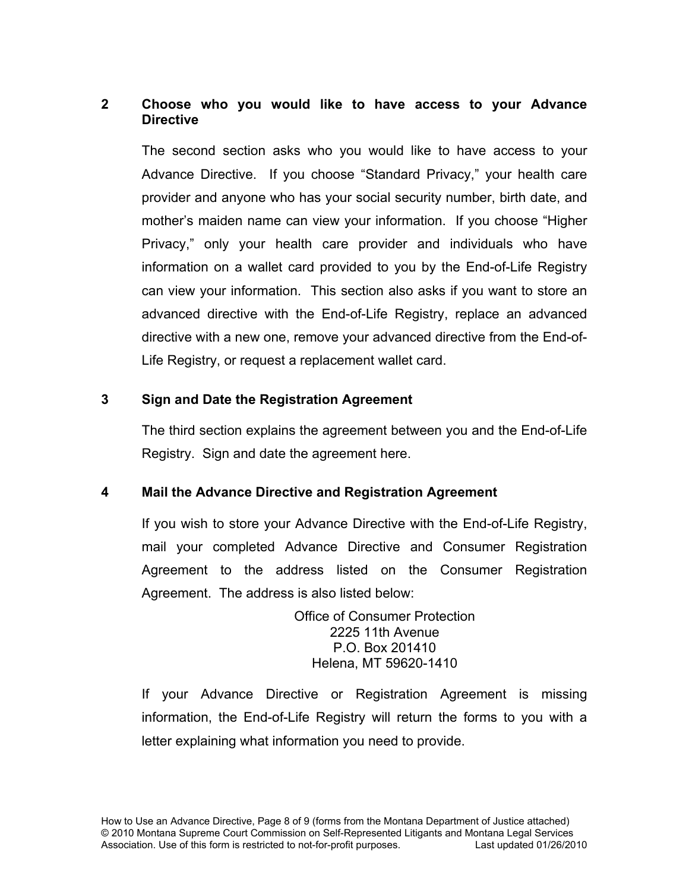### **2 Choose who you would like to have access to your Advance Directive**

The second section asks who you would like to have access to your Advance Directive. If you choose "Standard Privacy," your health care provider and anyone who has your social security number, birth date, and mother's maiden name can view your information. If you choose "Higher Privacy," only your health care provider and individuals who have information on a wallet card provided to you by the End-of-Life Registry can view your information. This section also asks if you want to store an advanced directive with the End-of-Life Registry, replace an advanced directive with a new one, remove your advanced directive from the End-of-Life Registry, or request a replacement wallet card.

### **3 Sign and Date the Registration Agreement**

The third section explains the agreement between you and the End-of-Life Registry. Sign and date the agreement here.

### **4 Mail the Advance Directive and Registration Agreement**

If you wish to store your Advance Directive with the End-of-Life Registry, mail your completed Advance Directive and Consumer Registration Agreement to the address listed on the Consumer Registration Agreement. The address is also listed below:

> Office of Consumer Protection 2225 11th Avenue P.O. Box 201410 Helena, MT 59620-1410

If your Advance Directive or Registration Agreement is missing information, the End-of-Life Registry will return the forms to you with a letter explaining what information you need to provide.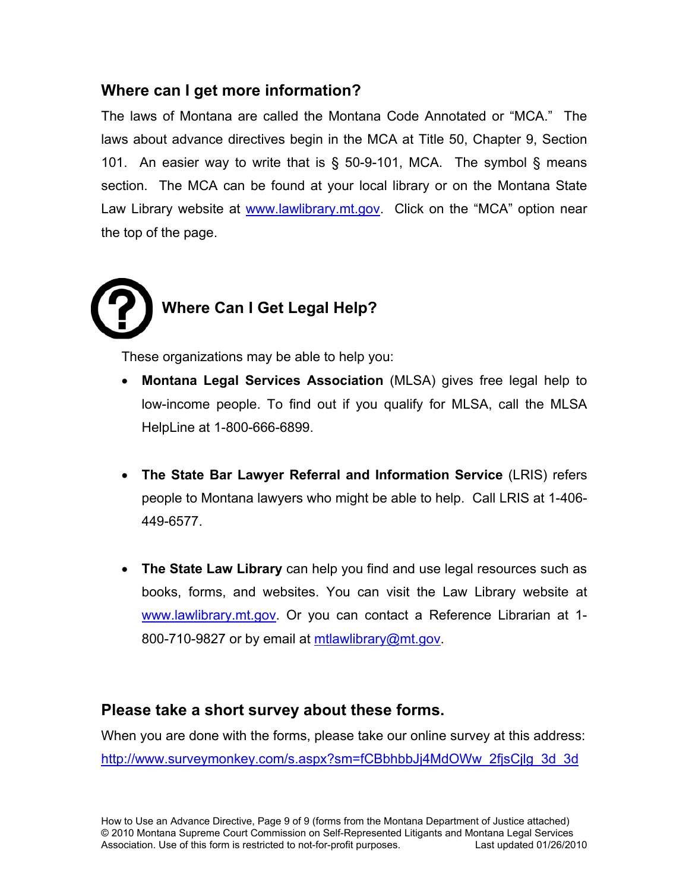### **Where can I get more information?**

The laws of Montana are called the Montana Code Annotated or "MCA." The laws about advance directives begin in the MCA at Title 50, Chapter 9, Section 101. An easier way to write that is § 50-9-101, MCA. The symbol § means section. The MCA can be found at your local library or on the Montana State Law Library website at [www.lawlibrary.mt.gov.](http://www.lawlibrary.mt.gov/) Click on the "MCA" option near the top of the page.

# **Where Can I Get Legal Help?**

These organizations may be able to help you:

- **Montana Legal Services Association** (MLSA) gives free legal help to low-income people. To find out if you qualify for MLSA, call the MLSA HelpLine at 1-800-666-6899.
- **The State Bar Lawyer Referral and Information Service** (LRIS) refers people to Montana lawyers who might be able to help. Call LRIS at 1-406- 449-6577.
- **The State Law Library** can help you find and use legal resources such as books, forms, and websites. You can visit the Law Library website at [www.lawlibrary.mt.gov](http://www.lawlibrary.mt.gov/). Or you can contact a Reference Librarian at 1800-710-9827 or by email at [mtlawlibrary@mt.gov.](mailto:mtlawlibrary@mt.gov)

### **Please take a short survey about these forms.**

When you are done with the forms, please take our online survey at this address: [http://www.surveymonkey.com/s.aspx?sm=fCBbhbbJj4MdOWw\\_2fjsCjlg\\_3d\\_3d](http://www.surveymonkey.com/s.aspx?sm=fCBbhbbJj4MdOWw_2fjsCjlg_3d_3d)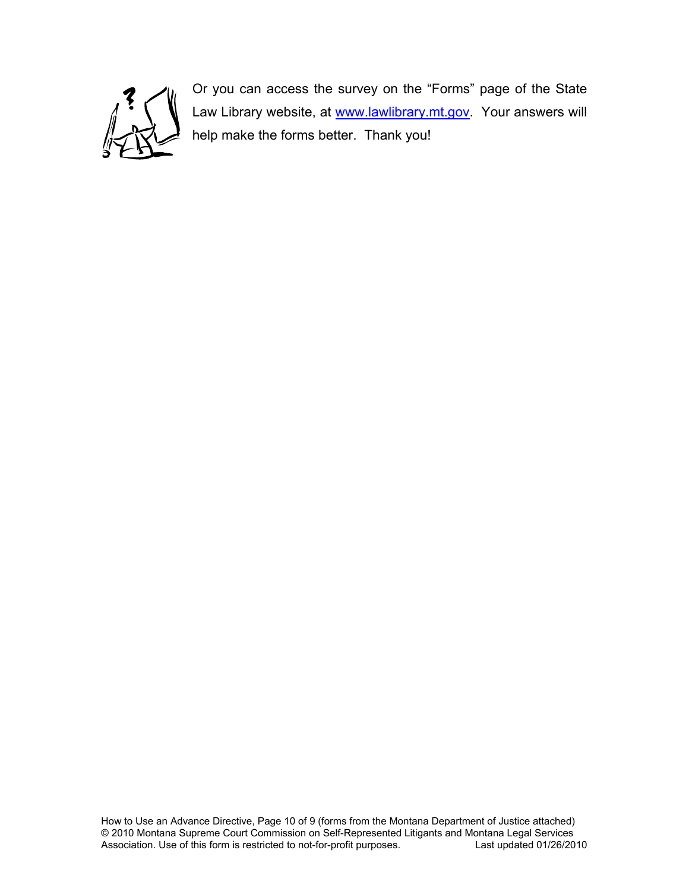

Or you can access the survey on the "Forms" page of the State Law Library website, at [www.lawlibrary.mt.gov](http://www.lawlibrary.mt.gov/). Your answers will help make the forms better. Thank you!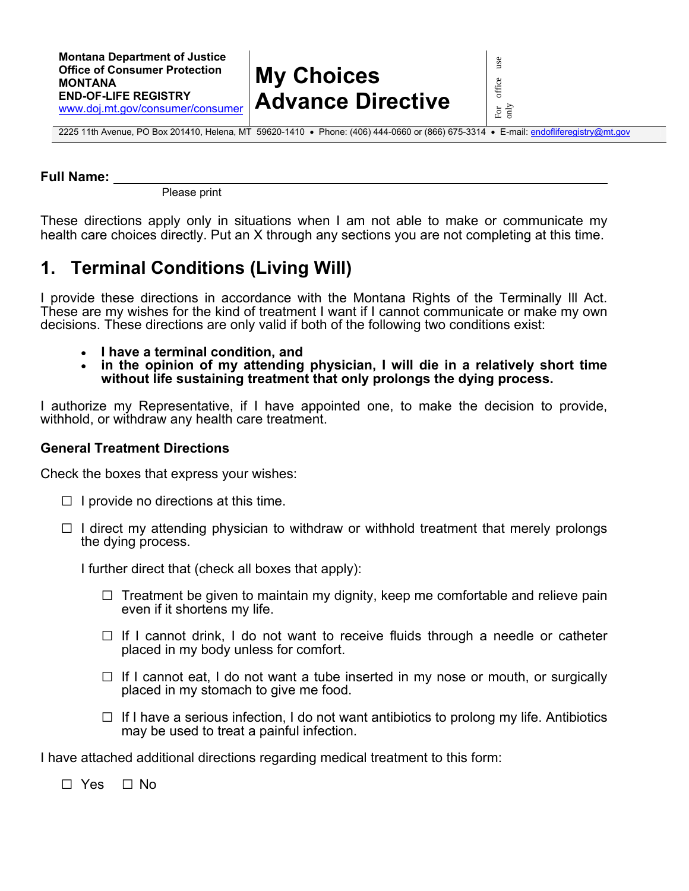use

office

2225 11th Avenue, PO Box 201410, Helena, MT 59620-1410 Phone: (406) 444-0660 or (866) 675-3314 E-mail: [endofliferegistry@mt.gov](mailto:endofliferegistry@mt.gov)

**Full Name:** 

Please print

These directions apply only in situations when I am not able to make or communicate my health care choices directly. Put an X through any sections you are not completing at this time.

### **1. Terminal Conditions (Living Will)**

I provide these directions in accordance with the Montana Rights of the Terminally Ill Act. These are my wishes for the kind of treatment I want if I cannot communicate or make my own decisions. These directions are only valid if both of the following two conditions exist:

- **I have a terminal condition, and**
- **in the opinion of my attending physician, I will die in a relatively short time without life sustaining treatment that only prolongs the dying process.**

I authorize my Representative, if I have appointed one, to make the decision to provide, withhold, or withdraw any health care treatment.

### **General Treatment Directions**

Check the boxes that express your wishes:

- **□** I provide no directions at this time.
- **□** I direct my attending physician to withdraw or withhold treatment that merely prolongs the dying process.

I further direct that (check all boxes that apply):

- **□** Treatment be given to maintain my dignity, keep me comfortable and relieve pain even if it shortens my life.
- **□** If I cannot drink, I do not want to receive fluids through a needle or catheter placed in my body unless for comfort.
- **□** If I cannot eat, I do not want a tube inserted in my nose or mouth, or surgically placed in my stomach to give me food.
- **□** If I have a serious infection, I do not want antibiotics to prolong my life. Antibiotics may be used to treat a painful infection.

I have attached additional directions regarding medical treatment to this form:

**□** Yes **□** No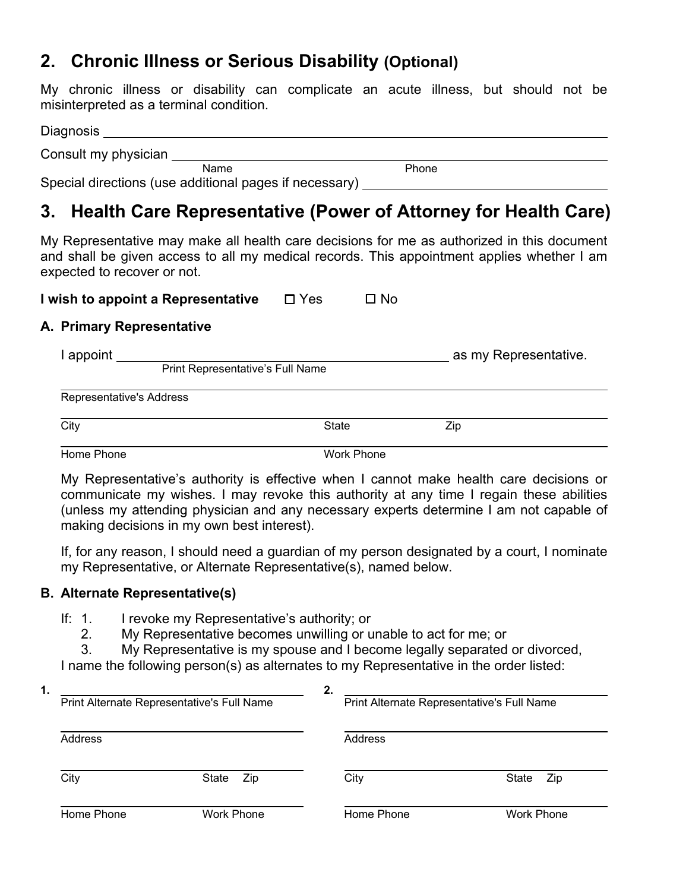### **2. Chronic Illness or Serious Disability (Optional)**

My chronic illness or disability can complicate an acute illness, but should not be misinterpreted as a terminal condition.

| <b>Diagnosis</b>                                       |       |  |
|--------------------------------------------------------|-------|--|
| Consult my physician                                   |       |  |
| <b>Name</b>                                            | Phone |  |
| Special directions (use additional pages if necessary) |       |  |

### **3. Health Care Representative (Power of Attorney for Health Care)**

My Representative may make all health care decisions for me as authorized in this document and shall be given access to all my medical records. This appointment applies whether I am expected to recover or not.

**I wish to appoint a Representative □** Yes **□** No

### **A. Primary Representative**

| I appoint |                                  | as my Representative. |
|-----------|----------------------------------|-----------------------|
|           | Print Representative's Full Name |                       |

Representative's Address

l

City **State City State Zip** 

Home Phone Work Phone

My Representative's authority is effective when I cannot make health care decisions or communicate my wishes. I may revoke this authority at any time I regain these abilities (unless my attending physician and any necessary experts determine I am not capable of making decisions in my own best interest).

If, for any reason, I should need a guardian of my person designated by a court, I nominate my Representative, or Alternate Representative(s), named below.

### **B. Alternate Representative(s)**

If: 1. I revoke my Representative's authority; or

2. My Representative becomes unwilling or unable to act for me; or

3. My Representative is my spouse and I become legally separated or divorced, I name the following person(s) as alternates to my Representative in the order listed:

| 1.             | Print Alternate Representative's Full Name |            | Print Alternate Representative's Full Name |  |  |
|----------------|--------------------------------------------|------------|--------------------------------------------|--|--|
| <b>Address</b> |                                            | Address    |                                            |  |  |
| City           | Zip<br><b>State</b>                        | City       | <b>State</b><br>Zip                        |  |  |
| Home Phone     | <b>Work Phone</b>                          | Home Phone | Work Phone                                 |  |  |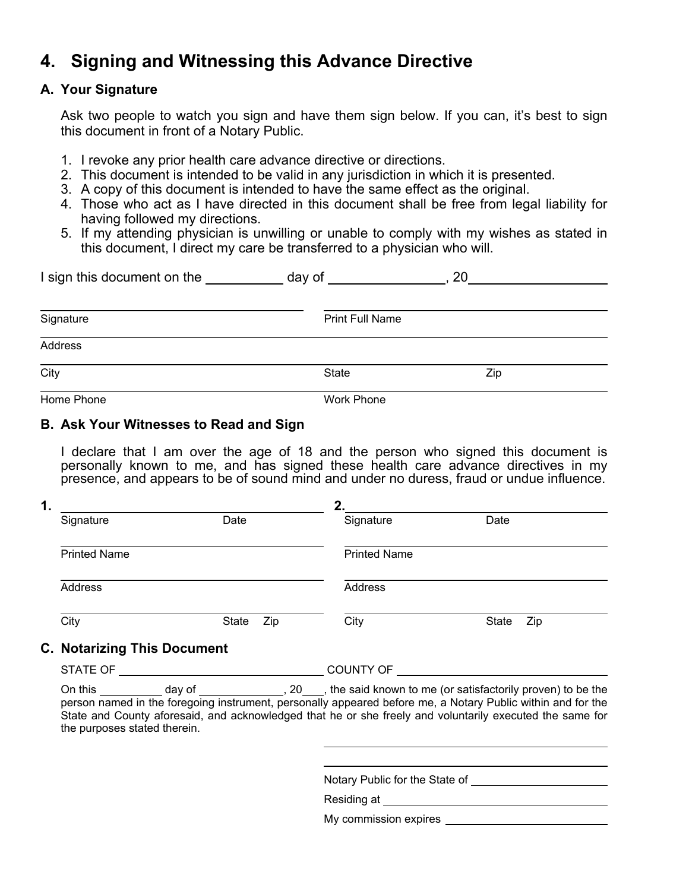### **4. Signing and Witnessing this Advance Directive**

### **A. Your Signature**

 Ask two people to watch you sign and have them sign below. If you can, it's best to sign this document in front of a Notary Public.

- 1. I revoke any prior health care advance directive or directions.
- 2. This document is intended to be valid in any jurisdiction in which it is presented.
- 3. A copy of this document is intended to have the same effect as the original.
- 4. Those who act as I have directed in this document shall be free from legal liability for having followed my directions.
- 5. If my attending physician is unwilling or unable to comply with my wishes as stated in this document, I direct my care be transferred to a physician who will.

| I sign this document on the | day of                 | 20  |  |  |
|-----------------------------|------------------------|-----|--|--|
| Signature                   | <b>Print Full Name</b> |     |  |  |
| Address                     |                        |     |  |  |
| City                        | <b>State</b>           | Zip |  |  |
| Home Phone                  | <b>Work Phone</b>      |     |  |  |

### **B. Ask Your Witnesses to Read and Sign**

I declare that I am over the age of 18 and the person who signed this document is personally known to me, and has signed these health care advance directives in my presence, and appears to be of sound mind and under no duress, fraud or undue influence.

| 1.                                                                                                                                                                                                                      |                                    |              |  |                     |       |     |  |
|-------------------------------------------------------------------------------------------------------------------------------------------------------------------------------------------------------------------------|------------------------------------|--------------|--|---------------------|-------|-----|--|
|                                                                                                                                                                                                                         | Signature                          | Date         |  | Signature           | Date  |     |  |
|                                                                                                                                                                                                                         | <b>Printed Name</b>                |              |  | <b>Printed Name</b> |       |     |  |
| Address                                                                                                                                                                                                                 |                                    |              |  | <b>Address</b>      |       |     |  |
|                                                                                                                                                                                                                         | City                               | State<br>Zip |  | City                | State | Zip |  |
|                                                                                                                                                                                                                         | <b>C. Notarizing This Document</b> |              |  |                     |       |     |  |
| COUNTY OF<br>STATE OF                                                                                                                                                                                                   |                                    |              |  |                     |       |     |  |
| person named in the foregoing instrument, personally appeared before me, a Notary Public within and for the<br>State and County aforesaid, and acknowledged that he or she freely and voluntarily executed the same for |                                    |              |  |                     |       |     |  |

the purposes stated therein.

Notary Public for the State of

Residing at

My commission expires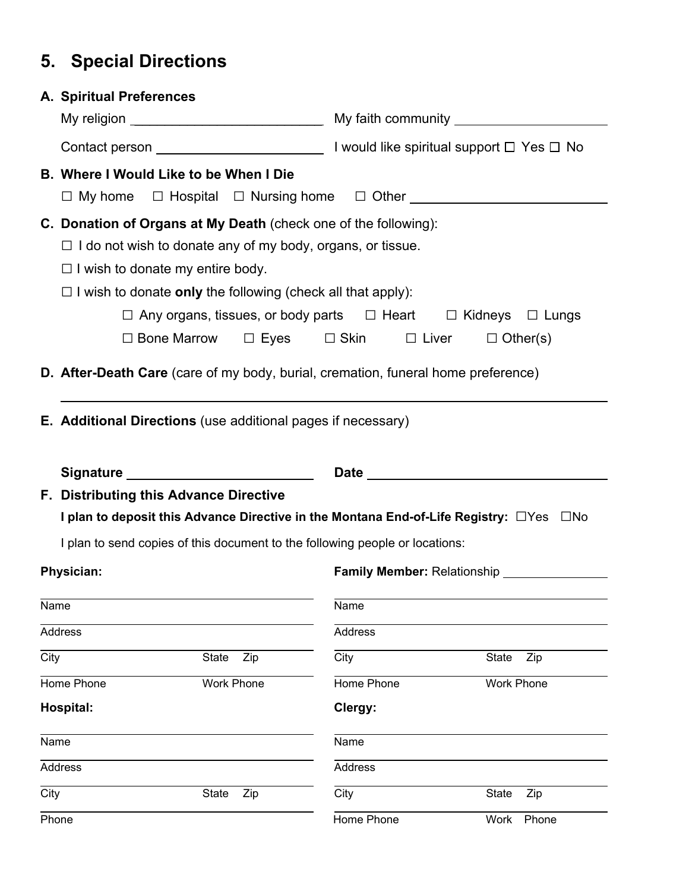### **5. Special Directions**

| <b>A. Spiritual Preferences</b>                                                                                                                                                                                                                       |                                                                                                                                                                                                                                |  |  |  |  |  |  |
|-------------------------------------------------------------------------------------------------------------------------------------------------------------------------------------------------------------------------------------------------------|--------------------------------------------------------------------------------------------------------------------------------------------------------------------------------------------------------------------------------|--|--|--|--|--|--|
|                                                                                                                                                                                                                                                       |                                                                                                                                                                                                                                |  |  |  |  |  |  |
|                                                                                                                                                                                                                                                       |                                                                                                                                                                                                                                |  |  |  |  |  |  |
| B. Where I Would Like to be When I Die                                                                                                                                                                                                                |                                                                                                                                                                                                                                |  |  |  |  |  |  |
|                                                                                                                                                                                                                                                       | $\Box$ My home $\Box$ Hospital $\Box$ Nursing home $\Box$ Other $\Box$                                                                                                                                                         |  |  |  |  |  |  |
| C. Donation of Organs at My Death (check one of the following):<br>$\Box$ I do not wish to donate any of my body, organs, or tissue.<br>$\Box$ I wish to donate my entire body.<br>$\Box$ I wish to donate only the following (check all that apply): |                                                                                                                                                                                                                                |  |  |  |  |  |  |
|                                                                                                                                                                                                                                                       | $\Box$ Any organs, tissues, or body parts $\Box$ Heart $\Box$ Kidneys $\Box$ Lungs                                                                                                                                             |  |  |  |  |  |  |
|                                                                                                                                                                                                                                                       | $\Box$ Bone Marrow $\Box$ Eyes $\Box$ Skin $\Box$ Liver $\Box$ Other(s)                                                                                                                                                        |  |  |  |  |  |  |
|                                                                                                                                                                                                                                                       | D. After-Death Care (care of my body, burial, cremation, funeral home preference)                                                                                                                                              |  |  |  |  |  |  |
|                                                                                                                                                                                                                                                       |                                                                                                                                                                                                                                |  |  |  |  |  |  |
| <b>E. Additional Directions</b> (use additional pages if necessary)                                                                                                                                                                                   |                                                                                                                                                                                                                                |  |  |  |  |  |  |
|                                                                                                                                                                                                                                                       |                                                                                                                                                                                                                                |  |  |  |  |  |  |
|                                                                                                                                                                                                                                                       | Date and the state of the state of the state of the state of the state of the state of the state of the state of the state of the state of the state of the state of the state of the state of the state of the state of the s |  |  |  |  |  |  |
| F. Distributing this Advance Directive                                                                                                                                                                                                                | I plan to deposit this Advance Directive in the Montana End-of-Life Registry: □Yes □No                                                                                                                                         |  |  |  |  |  |  |
|                                                                                                                                                                                                                                                       | I plan to send copies of this document to the following people or locations:                                                                                                                                                   |  |  |  |  |  |  |
| Physician:                                                                                                                                                                                                                                            | Family Member: Relationship ________                                                                                                                                                                                           |  |  |  |  |  |  |
|                                                                                                                                                                                                                                                       |                                                                                                                                                                                                                                |  |  |  |  |  |  |
| Name                                                                                                                                                                                                                                                  | Name                                                                                                                                                                                                                           |  |  |  |  |  |  |
| <b>Address</b>                                                                                                                                                                                                                                        | Address                                                                                                                                                                                                                        |  |  |  |  |  |  |
| City<br>Zip<br><b>State</b>                                                                                                                                                                                                                           | City<br>Zip<br>State                                                                                                                                                                                                           |  |  |  |  |  |  |
| Home Phone<br><b>Work Phone</b>                                                                                                                                                                                                                       | Home Phone<br><b>Work Phone</b>                                                                                                                                                                                                |  |  |  |  |  |  |
| Hospital:                                                                                                                                                                                                                                             | Clergy:                                                                                                                                                                                                                        |  |  |  |  |  |  |
| Name                                                                                                                                                                                                                                                  | Name                                                                                                                                                                                                                           |  |  |  |  |  |  |
| Address                                                                                                                                                                                                                                               | Address                                                                                                                                                                                                                        |  |  |  |  |  |  |
| City<br>Zip<br><b>State</b>                                                                                                                                                                                                                           | City<br>Zip<br><b>State</b>                                                                                                                                                                                                    |  |  |  |  |  |  |
| Phone                                                                                                                                                                                                                                                 | Home Phone<br>Phone<br>Work                                                                                                                                                                                                    |  |  |  |  |  |  |